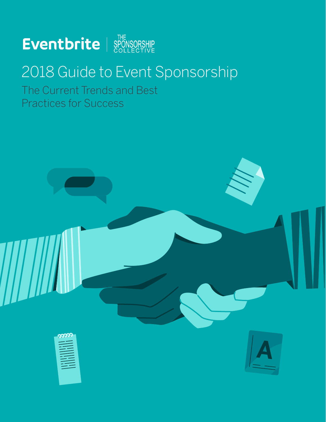

## 2018 Guide to Event Sponsorship

The Current Trends and Best Practices for Success

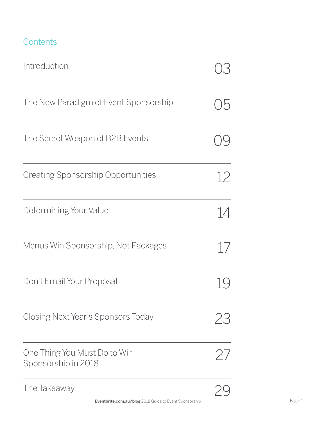### **Contents**

| Introduction                                        | $\frac{1}{\epsilon}$ |
|-----------------------------------------------------|----------------------|
| The New Paradigm of Event Sponsorship               | 5)                   |
| The Secret Weapon of B2B Events                     |                      |
| <b>Creating Sponsorship Opportunities</b>           | 12                   |
| Determining Your Value                              | 14                   |
| Menus Win Sponsorship, Not Packages                 | 17                   |
| Don't Email Your Proposal                           |                      |
| Closing Next Year's Sponsors Today                  | 23                   |
| One Thing You Must Do to Win<br>Sponsorship in 2018 | $\left/ \right/$     |
| The Takeaway                                        |                      |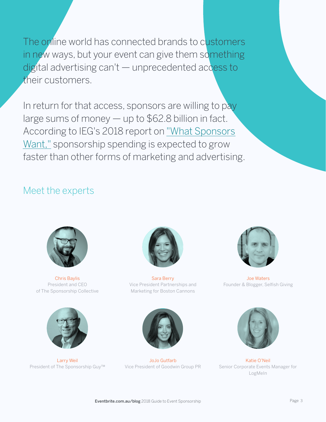The online world has connected brands to customers in new ways, but your event can give them something digital advertising can't — unprecedented access to their customers.

In return for that access, sponsors are willing to pay large sums of money — up to \$62.8 billion in fact. According to IEG's 2018 report on ["What Sponsors](http://www.sponsorship.com/Resources/What-Sponsors-Want-and-Where-Dollars-Will-Go-2017.aspx)  [Want,"](http://www.sponsorship.com/Resources/What-Sponsors-Want-and-Where-Dollars-Will-Go-2017.aspx) sponsorship spending is expected to grow faster than other forms of marketing and advertising.

### Meet the experts



Chris Baylis President and CEO of The Sponsorship Collective



Larry Weil President of The Sponsorship Guy™



Sara Berry Vice President Partnerships and Marketing for Boston Cannons



Joe Waters Founder & Blogger, Selfish Giving



JoJo Gutfarb Vice President of Goodwin Group PR



Katie O'Neil Senior Corporate Events Manager for LogMeIn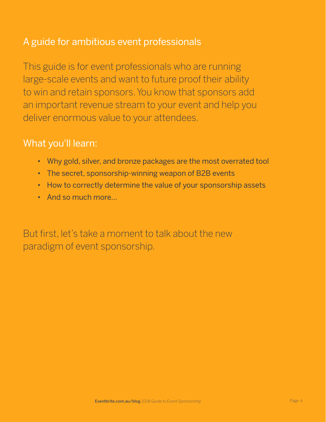### A guide for ambitious event professionals

This guide is for event professionals who are running large-scale events and want to future proof their ability to win and retain sponsors. You know that sponsors add an important revenue stream to your event and help you deliver enormous value to your attendees.

### What you'll learn:

- Why gold, silver, and bronze packages are the most overrated tool
- The secret, sponsorship-winning weapon of B2B events
- How to correctly determine the value of your sponsorship assets
- And so much more…

But first, let's take a moment to talk about the new paradigm of event sponsorship.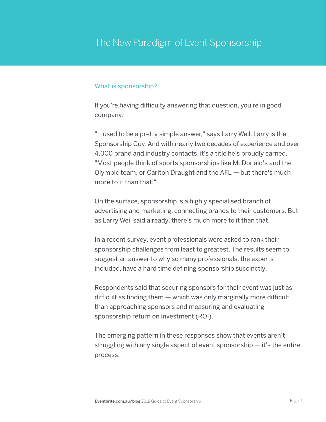### The New Paradigm of Event Sponsorship

#### What is sponsorship?

If you're having difficulty answering that question, you're in good company.

"It used to be a pretty simple answer," says Larry Weil. Larry is the Sponsorship Guy. And with nearly two decades of experience and over 4,000 brand and industry contacts, it's a title he's proudly earned. "Most people think of sports sponsorships like McDonald's and the Olympic team, or Carlton Draught and the AFL — but there's much more to it than that."

On the surface, sponsorship is a highly specialised branch of advertising and marketing, connecting brands to their customers. But as Larry Weil said already, there's much more to it than that.

In a recent survey, event professionals were asked to rank their sponsorship challenges from least to greatest. The results seem to suggest an answer to why so many professionals, the experts included, have a hard time defining sponsorship succinctly.

Respondents said that securing sponsors for their event was just as difficult as finding them — which was only marginally more difficult than approaching sponsors and measuring and evaluating sponsorship return on investment (ROI).

The emerging pattern in these responses show that events aren't struggling with any single aspect of event sponsorship — it's the entire process.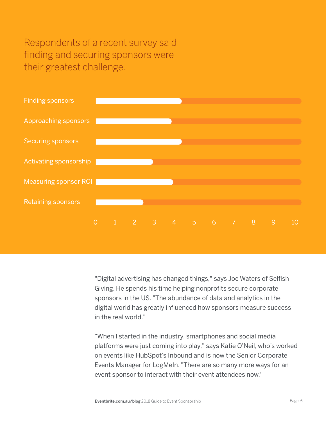Respondents of a recent survey said finding and securing sponsors were their greatest challenge.



"Digital advertising has changed things," says Joe Waters of Selfish Giving. He spends his time helping nonprofits secure corporate sponsors in the US. "The abundance of data and analytics in the digital world has greatly influenced how sponsors measure success in the real world."

"When I started in the industry, smartphones and social media platforms were just coming into play," says Katie O'Neil, who's worked on events like HubSpot's Inbound and is now the Senior Corporate Events Manager for LogMeIn. "There are so many more ways for an event sponsor to interact with their event attendees now."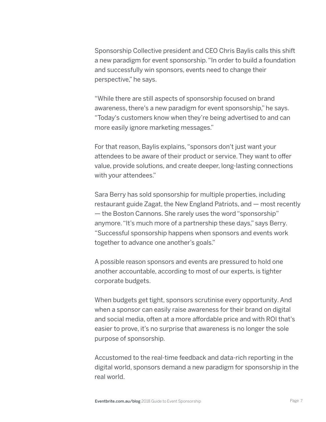Sponsorship Collective president and CEO Chris Baylis calls this shift a new paradigm for event sponsorship. "In order to build a foundation and successfully win sponsors, events need to change their perspective," he says.

"While there are still aspects of sponsorship focused on brand awareness, there's a new paradigm for event sponsorship," he says. "Today's customers know when they're being advertised to and can more easily ignore marketing messages."

For that reason, Baylis explains, "sponsors don't just want your attendees to be aware of their product or service. They want to offer value, provide solutions, and create deeper, long-lasting connections with your attendees."

Sara Berry has sold sponsorship for multiple properties, including restaurant guide Zagat, the New England Patriots, and — most recently — the Boston Cannons. She rarely uses the word "sponsorship" anymore. "It's much more of a partnership these days," says Berry. "Successful sponsorship happens when sponsors and events work together to advance one another's goals."

A possible reason sponsors and events are pressured to hold one another accountable, according to most of our experts, is tighter corporate budgets.

When budgets get tight, sponsors scrutinise every opportunity.And when a sponsor can easily raise awareness for their brand on digital and social media, often at a more affordable price and with ROI that's easier to prove, it's no surprise that awareness is no longer the sole purpose of sponsorship.

Accustomed to the real-time feedback and data-rich reporting in the digital world, sponsors demand a new paradigm for sponsorship in the real world.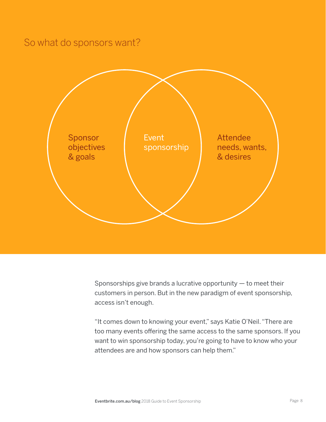### So what do sponsors want?



Sponsorships give brands a lucrative opportunity  $-$  to meet their customers in person. But in the new paradigm of event sponsorship, access isn't enough.

"It comes down to knowing your event," says Katie O'Neil. "There are too many events offering the same access to the same sponsors. If you want to win sponsorship today, you're going to have to know who your attendees are and how sponsors can help them."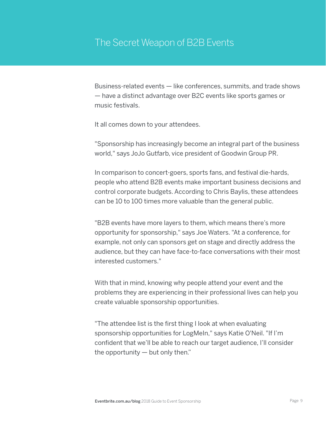Business-related events — like conferences, summits, and trade shows — have a distinct advantage over B2C events like sports games or music festivals.

It all comes down to your attendees.

"Sponsorship has increasingly become an integral part of the business world," says JoJo Gutfarb, vice president of Goodwin Group PR.

In comparison to concert-goers, sports fans, and festival die-hards, people who attend B2B events make important business decisions and control corporate budgets.According to Chris Baylis, these attendees can be 10 to 100 times more valuable than the general public.

"B2B events have more layers to them, which means there's more opportunity for sponsorship," says Joe Waters. "At a conference, for example, not only can sponsors get on stage and directly address the audience, but they can have face-to-face conversations with their most interested customers."

With that in mind, knowing why people attend your event and the problems they are experiencing in their professional lives can help you create valuable sponsorship opportunities.

"The attendee list is the first thing I look at when evaluating sponsorship opportunities for LogMeIn," says Katie O'Neil. "If I'm confident that we'll be able to reach our target audience, I'll consider the opportunity  $-$  but only then."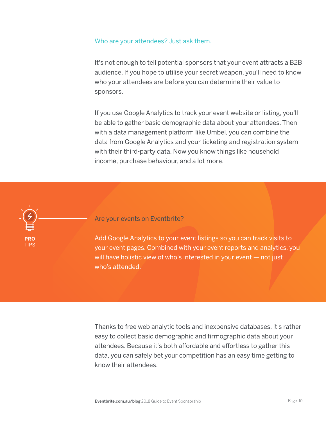#### Who are your attendees? Just ask them.

It's not enough to tell potential sponsors that your event attracts a B2B audience. If you hope to utilise your secret weapon, you'll need to know who your attendees are before you can determine their value to sponsors.

If you use Google Analytics to track your event website or listing, you'll be able to gather basic demographic data about your attendees. Then with a data management platform like Umbel, you can combine the data from Google Analytics and your ticketing and registration system with their third-party data. Now you know things like household income, purchase behaviour, and a lot more.



Are your events on Eventbrite?

Add Google Analytics to your event listings so you can track visits to your event pages. Combined with your event reports and analytics, you will have holistic view of who's interested in your event — not just who's attended.

Thanks to free web analytic tools and inexpensive databases, it's rather easy to collect basic demographic and firmographic data about your attendees. Because it's both affordable and effortless to gather this data, you can safely bet your competition has an easy time getting to know their attendees.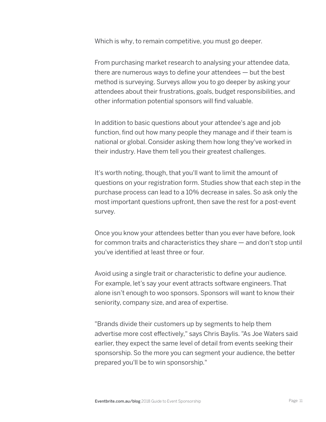Which is why, to remain competitive, you must go deeper.

From purchasing market research to analysing your attendee data, there are numerous ways to define your attendees — but the best method is surveying. Surveys allow you to go deeper by asking your attendees about their frustrations, goals, budget responsibilities, and other information potential sponsors will find valuable.

In addition to basic questions about your attendee's age and job function, find out how many people they manage and if their team is national or global. Consider asking them how long they've worked in their industry. Have them tell you their greatest challenges.

It's worth noting, though, that you'll want to limit the amount of questions on your registration form. Studies show that each step in the purchase process can lead to a 10% decrease in sales. So ask only the most important questions upfront, then save the rest for a post-event survey.

Once you know your attendees better than you ever have before, look for common traits and characteristics they share — and don't stop until you've identified at least three or four.

Avoid using a single trait or characteristic to define your audience. For example, let's say your event attracts software engineers. That alone isn't enough to woo sponsors. Sponsors will want to know their seniority, company size, and area of expertise.

"Brands divide their customers up by segments to help them advertise more cost effectively," says Chris Baylis. "As Joe Waters said earlier, they expect the same level of detail from events seeking their sponsorship. So the more you can segment your audience, the better prepared you'll be to win sponsorship."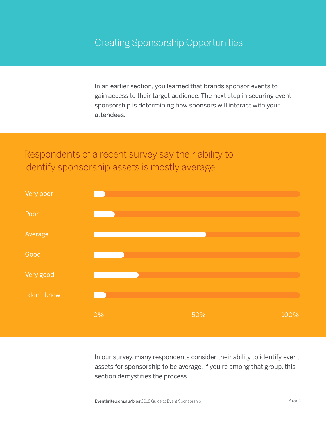In an earlier section, you learned that brands sponsor events to gain access to their target audience. The next step in securing event sponsorship is determining how sponsors will interact with your attendees.

### Respondents of a recent survey say their ability to identify sponsorship assets is mostly average.



In our survey, many respondents consider their ability to identify event assets for sponsorship to be average. If you're among that group, this section demystifies the process.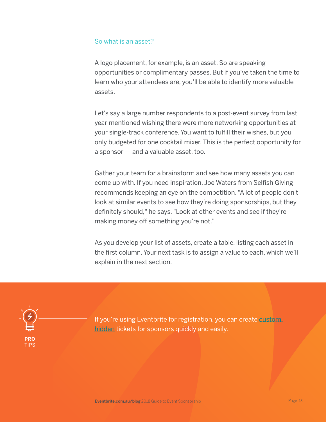#### So what is an asset?

A logo placement, for example, is an asset. So are speaking opportunities or complimentary passes. But if you've taken the time to learn who your attendees are, you'll be able to identify more valuable assets.

Let's say a large number respondents to a post-event survey from last year mentioned wishing there were more networking opportunities at your single-track conference. You want to fulfill their wishes, but you only budgeted for one cocktail mixer. This is the perfect opportunity for a sponsor — and a valuable asset, too.

Gather your team for a brainstorm and see how many assets you can come up with. If you need inspiration, Joe Waters from Selfish Giving recommends keeping an eye on the competition. "A lot of people don't look at similar events to see how they're doing sponsorships, but they definitely should," he says. "Look at other events and see if they're making money off something you're not."

As you develop your list of assets, create a table, listing each asset in the first column. Your next task is to assign a value to each, which we'll explain in the next section.



If you're using Eventbrite for registration, you can create custom. [hidden](https://www.eventbrite.com.au/support/articles/en_US/How_To/how-to-create-hidden-ticket-types?lg=en_US) tickets for sponsors quickly and easily.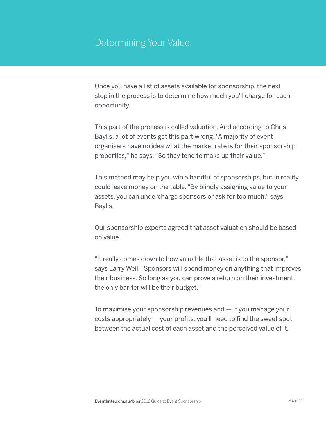### Determining Your Value

Once you have a list of assets available for sponsorship, the next step in the process is to determine how much you'll charge for each opportunity.

This part of the process is called valuation.And according to Chris Baylis, a lot of events get this part wrong. "A majority of event organisers have no idea what the market rate is for their sponsorship properties," he says. "So they tend to make up their value."

This method may help you win a handful of sponsorships, but in reality could leave money on the table. "By blindly assigning value to your assets, you can undercharge sponsors or ask for too much," says Baylis.

Our sponsorship experts agreed that asset valuation should be based on value.

"It really comes down to how valuable that asset is to the sponsor," says Larry Weil. "Sponsors will spend money on anything that improves their business. So long as you can prove a return on their investment, the only barrier will be their budget."

To maximise your sponsorship revenues and  $-$  if you manage your costs appropriately — your profits, you'll need to find the sweet spot between the actual cost of each asset and the perceived value of it.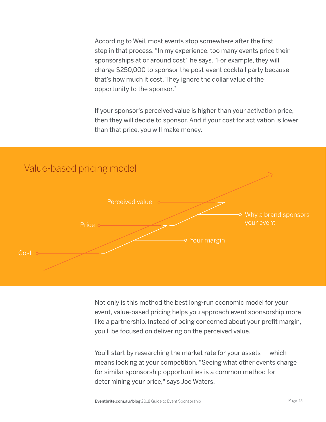According to Weil, most events stop somewhere after the first step in that process. "In my experience, too many events price their sponsorships at or around cost," he says. "For example, they will charge \$250,000 to sponsor the post-event cocktail party because that's how much it cost. They ignore the dollar value of the opportunity to the sponsor."

If your sponsor's perceived value is higher than your activation price, then they will decide to sponsor. And if your cost for activation is lower than that price, you will make money.



Not only is this method the best long-run economic model for your event, value-based pricing helps you approach event sponsorship more like a partnership. Instead of being concerned about your profit margin, you'll be focused on delivering on the perceived value.

You'll start by researching the market rate for your assets — which means looking at your competition. "Seeing what other events charge for similar sponsorship opportunities is a common method for determining your price," says Joe Waters.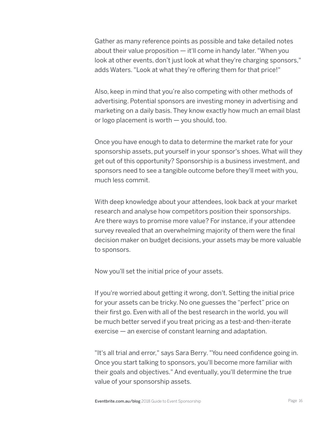Gather as many reference points as possible and take detailed notes about their value proposition  $-$  it'll come in handy later. "When you look at other events, don't just look at what they're charging sponsors," adds Waters. "Look at what they're offering them for that price!"

Also, keep in mind that you're also competing with other methods of advertising. Potential sponsors are investing money in advertising and marketing on a daily basis. They know exactly how much an email blast or logo placement is worth — you should, too.

Once you have enough to data to determine the market rate for your sponsorship assets, put yourself in your sponsor's shoes. What will they get out of this opportunity? Sponsorship is a business investment, and sponsors need to see a tangible outcome before they'll meet with you, much less commit.

With deep knowledge about your attendees, look back at your market research and analyse how competitors position their sponsorships. Are there ways to promise more value? For instance, if your attendee survey revealed that an overwhelming majority of them were the final decision maker on budget decisions, your assets may be more valuable to sponsors.

Now you'll set the initial price of your assets.

If you're worried about getting it wrong, don't. Setting the initial price for your assets can be tricky. No one guesses the "perfect" price on their first go. Even with all of the best research in the world, you will be much better served if you treat pricing as a test-and-then-iterate exercise — an exercise of constant learning and adaptation.

"It's all trial and error," says Sara Berry. "You need confidence going in. Once you start talking to sponsors, you'll become more familiar with their goals and objectives." And eventually, you'll determine the true value of your sponsorship assets.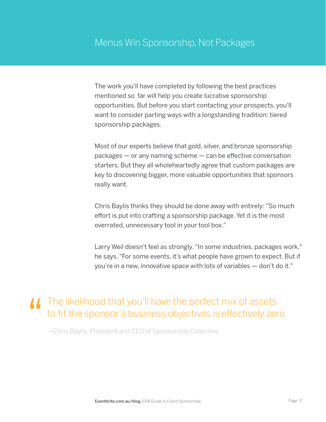The work you'll have completed by following the best practices mentioned so far will help you create lucrative sponsorship opportunities. But before you start contacting your prospects, you'll want to consider parting ways with a longstanding tradition: tiered sponsorship packages.

Most of our experts believe that gold, silver, and bronze sponsorship packages — or any naming scheme — can be effective conversation starters. But they all wholeheartedly agree that custom packages are key to discovering bigger, more valuable opportunities that sponsors really want.

Chris Baylis thinks they should be done away with entirely: "So much effort is put into crafting a sponsorship package. Yet it is the most overrated, unnecessary tool in your tool box."

Larry Weil doesn't feel as strongly. "In some industries, packages work," he says. "For some events, it's what people have grown to expect. But if you're in a new, innovative space with lots of variables — don't do it."

### **II** The likelihood that you'll have the perfect mix of assets to fit the sponsor's business objectives is effectively zero.

—Chris Baylis, President and CEO of Sponsorship Collective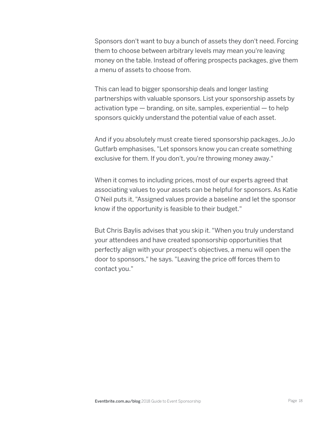Sponsors don't want to buy a bunch of assets they don't need. Forcing them to choose between arbitrary levels may mean you're leaving money on the table. Instead of offering prospects packages, give them a menu of assets to choose from.

This can lead to bigger sponsorship deals and longer lasting partnerships with valuable sponsors. List your sponsorship assets by activation type  $-$  branding, on site, samples, experiential  $-$  to help sponsors quickly understand the potential value of each asset.

And if you absolutely must create tiered sponsorship packages, JoJo Gutfarb emphasises, "Let sponsors know you can create something exclusive for them. If you don't, you're throwing money away."

When it comes to including prices, most of our experts agreed that associating values to your assets can be helpful for sponsors.As Katie O'Neil puts it, "Assigned values provide a baseline and let the sponsor know if the opportunity is feasible to their budget."

But Chris Baylis advises that you skip it. "When you truly understand your attendees and have created sponsorship opportunities that perfectly align with your prospect's objectives, a menu will open the door to sponsors," he says. "Leaving the price off forces them to contact you."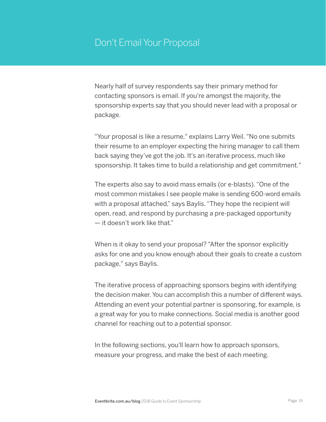### Don't Email Your Proposal

Nearly half of survey respondents say their primary method for contacting sponsors is email. If you're amongst the majority, the sponsorship experts say that you should never lead with a proposal or package.

"Your proposal is like a resume," explains Larry Weil. "No one submits their resume to an employer expecting the hiring manager to call them back saying they've got the job. It's an iterative process, much like sponsorship. It takes time to build a relationship and get commitment."

The experts also say to avoid mass emails (or e-blasts). "One of the most common mistakes I see people make is sending 600-word emails with a proposal attached," says Baylis. "They hope the recipient will open, read, and respond by purchasing a pre-packaged opportunity — it doesn't work like that."

When is it okay to send your proposal? "After the sponsor explicitly asks for one and you know enough about their goals to create a custom package," says Baylis.

The iterative process of approaching sponsors begins with identifying the decision maker.You can accomplish this a number of different ways. Attending an event your potential partner is sponsoring, for example, is a great way for you to make connections. Social media is another good channel for reaching out to a potential sponsor.

In the following sections, you'll learn how to approach sponsors, measure your progress, and make the best of each meeting.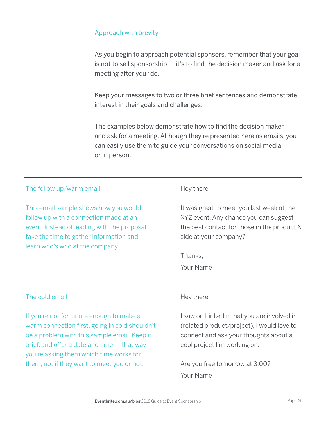#### Approach with brevity

As you begin to approach potential sponsors, remember that your goal is not to sell sponsorship — it's to find the decision maker and ask for a meeting after your do.

Keep your messages to two or three brief sentences and demonstrate interest in their goals and challenges.

The examples below demonstrate how to find the decision maker and ask for a meeting. Although they're presented here as emails, you can easily use them to guide your conversations on social media or in person.

| The follow up/warm email                                                                                                                                                                                      | Hey there,                                                                                                                                                        |
|---------------------------------------------------------------------------------------------------------------------------------------------------------------------------------------------------------------|-------------------------------------------------------------------------------------------------------------------------------------------------------------------|
| This email sample shows how you would<br>follow up with a connection made at an<br>event. Instead of leading with the proposal,<br>take the time to gather information and<br>learn who's who at the company. | It was great to meet you last week at the<br>XYZ event. Any chance you can suggest<br>the best contact for those in the product X<br>side at your company?        |
|                                                                                                                                                                                                               | Thanks,                                                                                                                                                           |
|                                                                                                                                                                                                               | Your Name                                                                                                                                                         |
|                                                                                                                                                                                                               |                                                                                                                                                                   |
| The cold email                                                                                                                                                                                                | Hey there,                                                                                                                                                        |
| If you're not fortunate enough to make a<br>warm connection first, going in cold shouldn't<br>be a problem with this sample email. Keep it<br>brief, and offer a date and time $-$ that way                   | I saw on LinkedIn that you are involved in<br>(related product/project), I would love to<br>connect and ask your thoughts about a<br>cool project I'm working on. |

Are you free tomorrow at 3:00? Your Name

you're asking them which time works for them, not if they want to meet you or not.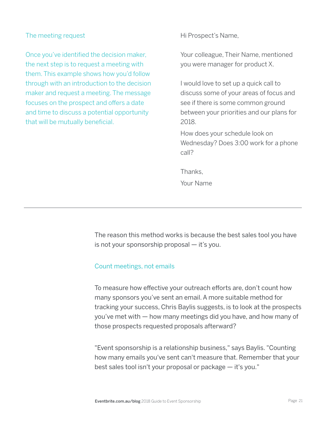#### The meeting request

Once you've identified the decision maker, the next step is to request a meeting with them. This example shows how you'd follow through with an introduction to the decision maker and request a meeting. The message focuses on the prospect and offers a date and time to discuss a potential opportunity that will be mutually beneficial.

Hi Prospect's Name,

Your colleague, Their Name, mentioned you were manager for product X.

I would love to set up a quick call to discuss some of your areas of focus and see if there is some common ground between your priorities and our plans for 2018.

How does your schedule look on Wednesday? Does 3:00 work for a phone call?

**Thanks** Your Name

The reason this method works is because the best sales tool you have is not your sponsorship proposal  $-$  it's you.

#### Count meetings, not emails

To measure how effective your outreach efforts are, don't count how many sponsors you've sent an email. A more suitable method for tracking your success, Chris Baylis suggests, is to look at the prospects you've met with — how many meetings did you have, and how many of those prospects requested proposals afterward?

"Event sponsorship is a relationship business," says Baylis. "Counting how many emails you've sent can't measure that. Remember that your best sales tool isn't your proposal or package — it's you."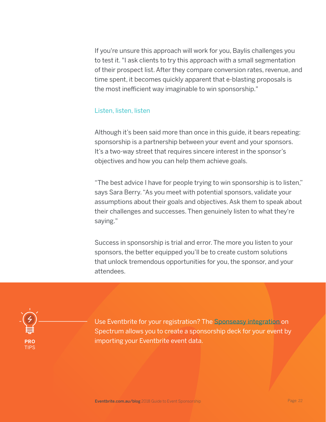If you're unsure this approach will work for you, Baylis challenges you to test it. "I ask clients to try this approach with a small segmentation of their prospect list. After they compare conversion rates, revenue, and time spent, it becomes quickly apparent that e-blasting proposals is the most inefficient way imaginable to win sponsorship."

#### Listen, listen, listen

Although it's been said more than once in this guide, it bears repeating: sponsorship is a partnership between your event and your sponsors. It's a two-way street that requires sincere interest in the sponsor's objectives and how you can help them achieve goals.

"The best advice I have for people trying to win sponsorship is to listen," says Sara Berry. "As you meet with potential sponsors, validate your assumptions about their goals and objectives. Ask them to speak about their challenges and successes. Then genuinely listen to what they're saying."

Success in sponsorship is trial and error. The more you listen to your sponsors, the better equipped you'll be to create custom solutions that unlock tremendous opportunities for you, the sponsor, and your attendees.



Use Eventbrite for your registration? The [Sponseasy integration](https://www.eventbrite.com.au/spectrum/sponsorship/) on Spectrum allows you to create a sponsorship deck for your event by importing your Eventbrite event data.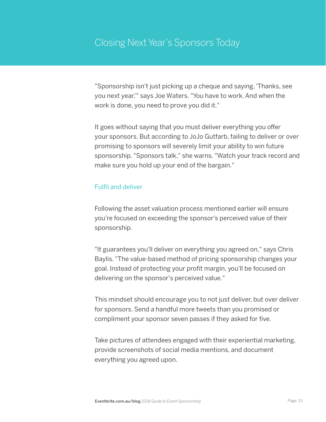"Sponsorship isn't just picking up a cheque and saying,'Thanks, see you next year,'" says Joe Waters. "You have to work.And when the work is done, you need to prove you did it."

It goes without saying that you must deliver everything you offer your sponsors. But according to JoJo Gutfarb, failing to deliver or over promising to sponsors will severely limit your ability to win future sponsorship. "Sponsors talk," she warns. "Watch your track record and make sure you hold up your end of the bargain."

#### Fulfil and deliver

Following the asset valuation process mentioned earlier will ensure you're focused on exceeding the sponsor's perceived value of their sponsorship.

"It guarantees you'll deliver on everything you agreed on," says Chris Baylis. "The value-based method of pricing sponsorship changes your goal. Instead of protecting your profit margin, you'll be focused on delivering on the sponsor's perceived value."

This mindset should encourage you to not just deliver, but over deliver for sponsors. Send a handful more tweets than you promised or compliment your sponsor seven passes if they asked for five.

Take pictures of attendees engaged with their experiential marketing, provide screenshots of social media mentions, and document everything you agreed upon.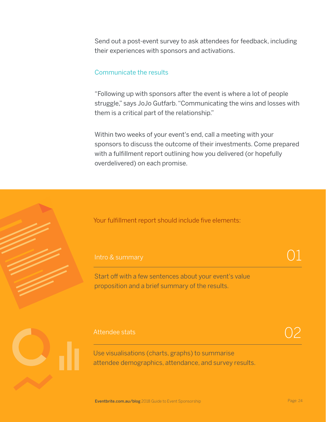Send out a post-event survey to ask attendees for feedback, including their experiences with sponsors and activations.

#### Communicate the results

"Following up with sponsors after the event is where a lot of people struggle," says JoJo Gutfarb. "Communicating the wins and losses with them is a critical part of the relationship."

Within two weeks of your event's end, call a meeting with your sponsors to discuss the outcome of their investments. Come prepared with a fulfillment report outlining how you delivered (or hopefully overdelivered) on each promise.

Your fulfillment report should include five elements:

#### Intro & summary

Start off with a few sentences about your event's value proposition and a brief summary of the results.

#### Attendee stats

Use visualisations (charts, graphs) to summarise attendee demographics, attendance, and survey results. 02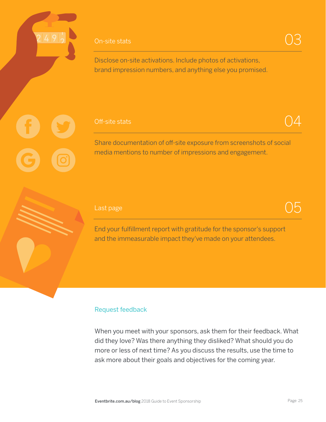#### On-site stats

#### Off-site stats

Share documentation of off-site exposure from screenshots of social media mentions to number of impressions and engagement.

#### Last page

End your fulfillment report with gratitude for the sponsor's support and the immeasurable impact they've made on your attendees.

#### Request feedback

When you meet with your sponsors, ask them for their feedback. What did they love? Was there anything they disliked? What should you do more or less of next time? As you discuss the results, use the time to ask more about their goals and objectives for the coming year.

03

 $\Delta$ 

 $\cdot$ )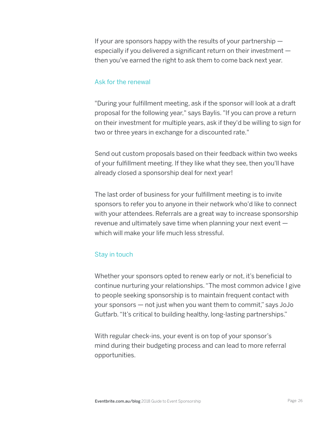If your are sponsors happy with the results of your partnership  $$ especially if you delivered a significant return on their investment then you've earned the right to ask them to come back next year.

#### Ask for the renewal

"During your fulfillment meeting, ask if the sponsor will look at a draft proposal for the following year," says Baylis. "If you can prove a return on their investment for multiple years, ask if they'd be willing to sign for two or three years in exchange for a discounted rate."

Send out custom proposals based on their feedback within two weeks of your fulfillment meeting. If they like what they see, then you'll have already closed a sponsorship deal for next year!

The last order of business for your fulfillment meeting is to invite sponsors to refer you to anyone in their network who'd like to connect with your attendees. Referrals are a great way to increase sponsorship revenue and ultimately save time when planning your next event which will make your life much less stressful.

#### Stay in touch

Whether your sponsors opted to renew early or not, it's beneficial to continue nurturing your relationships. "The most common advice I give to people seeking sponsorship is to maintain frequent contact with your sponsors — not just when you want them to commit," says JoJo Gutfarb. "It's critical to building healthy, long-lasting partnerships."

With regular check-ins, your event is on top of your sponsor's mind during their budgeting process and can lead to more referral opportunities.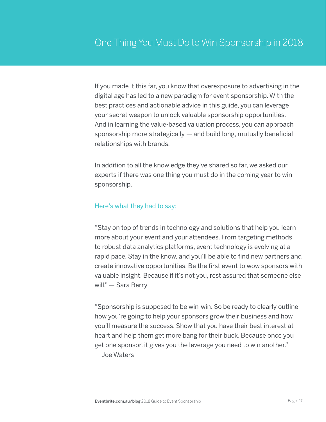If you made it this far, you know that overexposure to advertising in the digital age has led to a new paradigm for event sponsorship. With the best practices and actionable advice in this guide, you can leverage your secret weapon to unlock valuable sponsorship opportunities. And in learning the value-based valuation process, you can approach sponsorship more strategically — and build long, mutually beneficial relationships with brands.

In addition to all the knowledge they've shared so far, we asked our experts if there was one thing you must do in the coming year to win sponsorship.

#### Here's what they had to say:

"Stay on top of trends in technology and solutions that help you learn more about your event and your attendees. From targeting methods to robust data analytics platforms, event technology is evolving at a rapid pace. Stay in the know, and you'll be able to find new partners and create innovative opportunities. Be the first event to wow sponsors with valuable insight. Because if it's not you, rest assured that someone else will." — Sara Berry

"Sponsorship is supposed to be win-win. So be ready to clearly outline how you're going to help your sponsors grow their business and how you'll measure the success. Show that you have their best interest at heart and help them get more bang for their buck. Because once you get one sponsor, it gives you the leverage you need to win another." — Joe Waters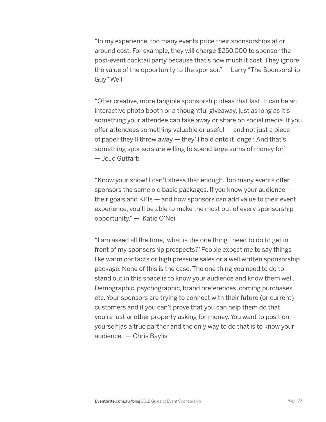"In my experience, too many events price their sponsorships at or around cost. For example, they will charge \$250,000 to sponsor the post-event cocktail party because that's how much it cost. They ignore the value of the opportunity to the sponsor." — Larry "The Sponsorship Guy" Weil

"Offer creative, more tangible sponsorship ideas that last. It can be an interactive photo booth or a thoughtful giveaway, just as long as it's something your attendee can take away or share on social media. If you offer attendees something valuable or useful — and not just a piece of paper they'll throw away — they'll hold onto it longer. And that's something sponsors are willing to spend large sums of money for." — JoJo Gutfarb

"Know your show! I can't stress that enough. Too many events offer sponsors the same old basic packages. If you know your audience their goals and KPIs — and how sponsors can add value to their event experience, you'll be able to make the most out of every sponsorship opportunity." — Katie O'Neil

"I am asked all the time, 'what is the one thing I need to do to get in front of my sponsorship prospects?' People expect me to say things like warm contacts or high pressure sales or a well written sponsorship package. None of this is the case. The one thing you need to do to stand out in this space is to know your audience and know them well. Demographic, psychographic, brand preferences, coming purchases etc. Your sponsors are trying to connect with their future (or current) customers and if you can't prove that you can help them do that, you're just another property asking for money. You want to position yourself|as a true partner and the only way to do that is to know your audience. — Chris Baylis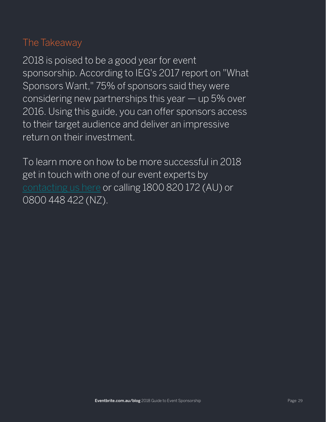### The Takeaway

2018 is poised to be a good year for event sponsorship. According to IEG's 2017 report on "What Sponsors Want," 75% of sponsors said they were considering new partnerships this year — up 5% over 2016. Using this guide, you can offer sponsors access to their target audience and deliver an impressive return on their investment.

To learn more on how to be more successful in 2018 get in touch with one of our event experts by [contacting us here](https://www.eventbrite.com.au/blog/academy/contact-eventbrite/) or calling 1800 820 172 (AU) or 0800 448 422 (NZ).